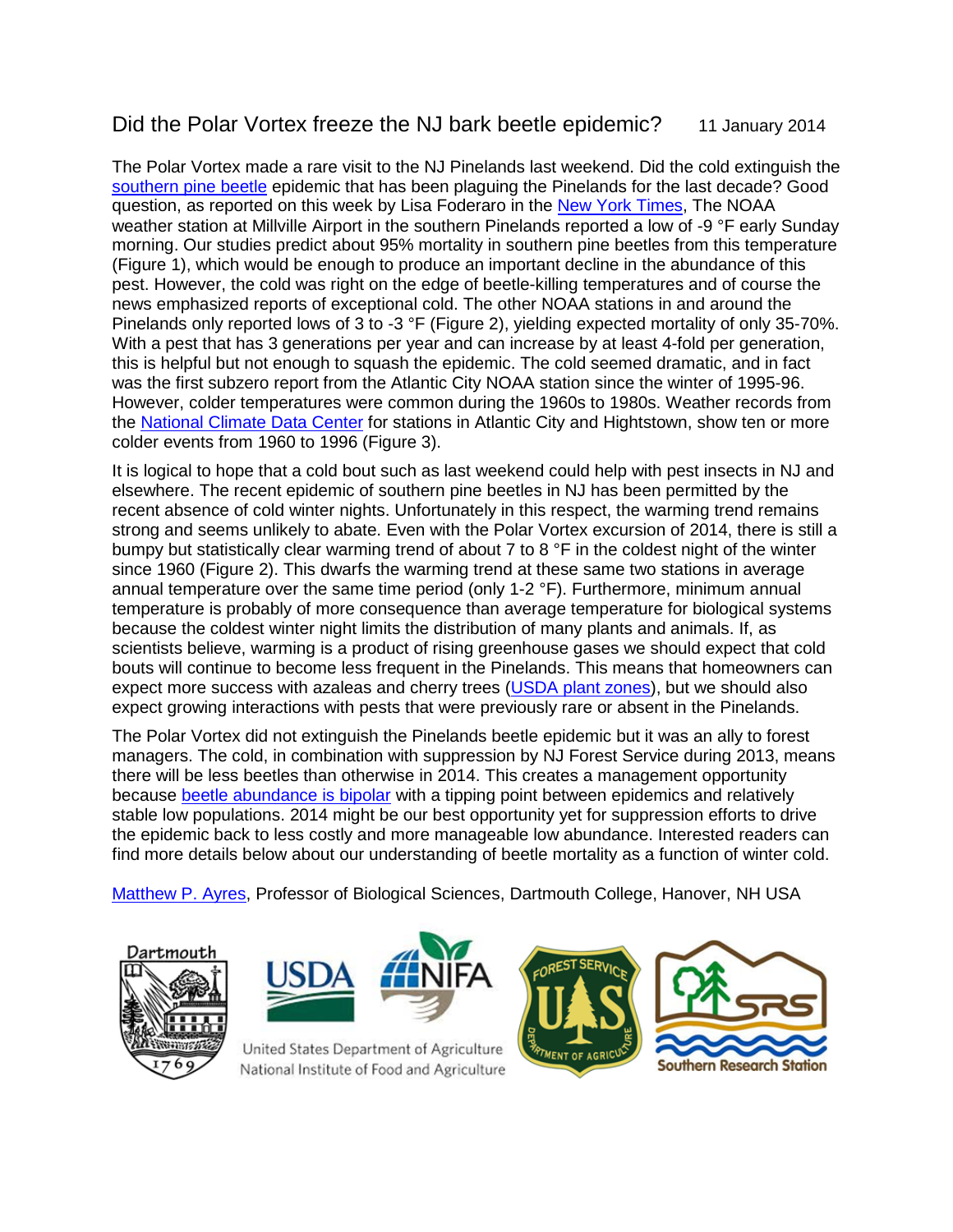## Did the Polar Vortex freeze the NJ bark beetle epidemic? 11 January 2014

The Polar Vortex made a rare visit to the NJ Pinelands last weekend. Did the cold extinguish the [southern pine beetle](http://www.nytimes.com/2013/12/02/science/earth/in-new-jersey-pines-trouble-arrives-on-six-legs.html?hp&_r=1&) epidemic that has been plaguing the Pinelands for the last decade? Good question, as reported on this week by Lisa Foderaro in the [New York Times,](http://www.nytimes.com/2014/01/09/nyregion/experts-cheer-the-deep-freeze-as-a-killer-of-invasive-insects.html) The NOAA weather station at Millville Airport in the southern Pinelands reported a low of -9 °F early Sunday morning. Our studies predict about 95% mortality in southern pine beetles from this temperature (Figure 1), which would be enough to produce an important decline in the abundance of this pest. However, the cold was right on the edge of beetle-killing temperatures and of course the news emphasized reports of exceptional cold. The other NOAA stations in and around the Pinelands only reported lows of 3 to -3 °F (Figure 2), yielding expected mortality of only 35-70%. With a pest that has 3 generations per year and can increase by at least 4-fold per generation, this is helpful but not enough to squash the epidemic. The cold seemed dramatic, and in fact was the first subzero report from the Atlantic City NOAA station since the winter of 1995-96. However, colder temperatures were common during the 1960s to 1980s. Weather records from the National [Climate Data Center](http://www.ncdc.noaa.gov/) for stations in Atlantic City and Hightstown, show ten or more colder events from 1960 to 1996 (Figure 3).

It is logical to hope that a cold bout such as last weekend could help with pest insects in NJ and elsewhere. The recent epidemic of southern pine beetles in NJ has been permitted by the recent absence of cold winter nights. Unfortunately in this respect, the warming trend remains strong and seems unlikely to abate. Even with the Polar Vortex excursion of 2014, there is still a bumpy but statistically clear warming trend of about 7 to 8  $\degree$ F in the coldest night of the winter since 1960 (Figure 2). This dwarfs the warming trend at these same two stations in average annual temperature over the same time period (only 1-2 °F). Furthermore, minimum annual temperature is probably of more consequence than average temperature for biological systems because the coldest winter night limits the distribution of many plants and animals. If, as scientists believe, warming is a product of rising greenhouse gases we should expect that cold bouts will continue to become less frequent in the Pinelands. This means that homeowners can expect more success with azaleas and cherry trees [\(USDA plant zones\)](http://planthardiness.ars.usda.gov/PHZMWeb/), but we should also expect growing interactions with pests that were previously rare or absent in the Pinelands.

The Polar Vortex did not extinguish the Pinelands beetle epidemic but it was an ally to forest managers. The cold, in combination with suppression by NJ Forest Service during 2013, means there will be less beetles than otherwise in 2014. This creates a management opportunity because [beetle abundance is bipolar](http://www.dartmouth.edu/~mpayres/pubs/abs95.htm) with a tipping point between epidemics and relatively stable low populations. 2014 might be our best opportunity yet for suppression efforts to drive the epidemic back to less costly and more manageable low abundance. Interested readers can find more details below about our understanding of beetle mortality as a function of winter cold.

Matthew P. Ayres, Professor of Biological Sciences, Dartmouth College, Hanover, NH USA





United States Department of Agriculture National Institute of Food and Agriculture



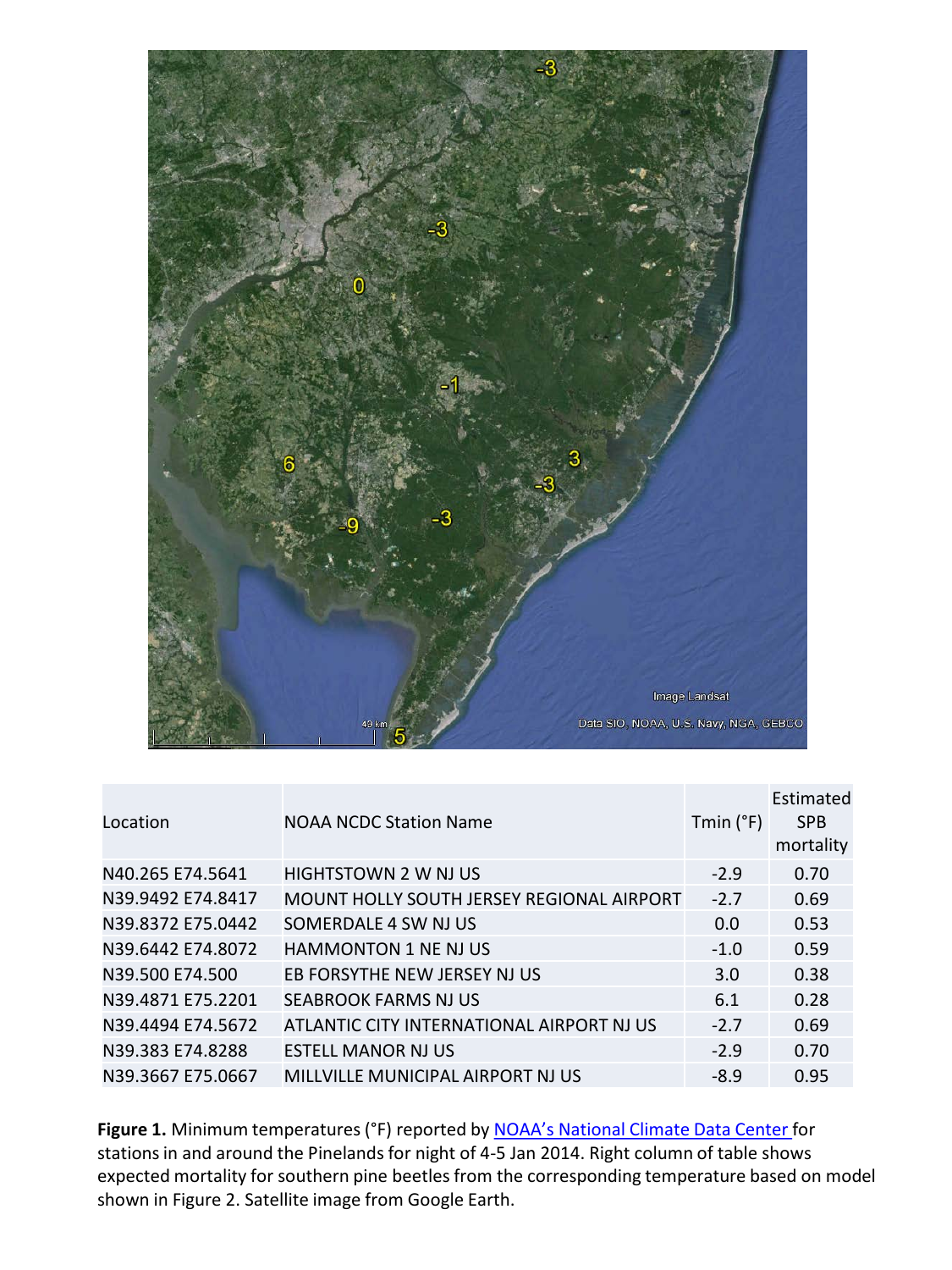

| Location          | <b>NOAA NCDC Station Name</b>             | Tmin $(°F)$ | Estimated<br><b>SPB</b><br>mortality |
|-------------------|-------------------------------------------|-------------|--------------------------------------|
| N40.265 E74.5641  | HIGHTSTOWN 2 W NJ US                      | $-2.9$      | 0.70                                 |
| N39.9492 E74.8417 | MOUNT HOLLY SOUTH JERSEY REGIONAL AIRPORT | $-2.7$      | 0.69                                 |
| N39.8372 E75.0442 | SOMERDALE 4 SW NJ US                      | 0.0         | 0.53                                 |
| N39.6442 E74.8072 | <b>HAMMONTON 1 NE NJ US</b>               | $-1.0$      | 0.59                                 |
| N39.500 E74.500   | EB FORSYTHE NEW JERSEY NJ US              | 3.0         | 0.38                                 |
| N39.4871 E75.2201 | SEABROOK FARMS NJ US                      | 6.1         | 0.28                                 |
| N39.4494 E74.5672 | ATLANTIC CITY INTERNATIONAL AIRPORT NJ US | $-2.7$      | 0.69                                 |
| N39.383 E74.8288  | <b>ESTELL MANOR NJ US</b>                 | $-2.9$      | 0.70                                 |
| N39.3667 E75.0667 | MILLVILLE MUNICIPAL AIRPORT NJ US         | $-8.9$      | 0.95                                 |

Figure 1. Minimum temperatures (°F) reported by **NOAA's National Climate Data Center** for stations in and around the Pinelands for night of 4-5 Jan 2014. Right column of table shows expected mortality for southern pine beetles from the corresponding temperature based on model shown in Figure 2. Satellite image from Google Earth.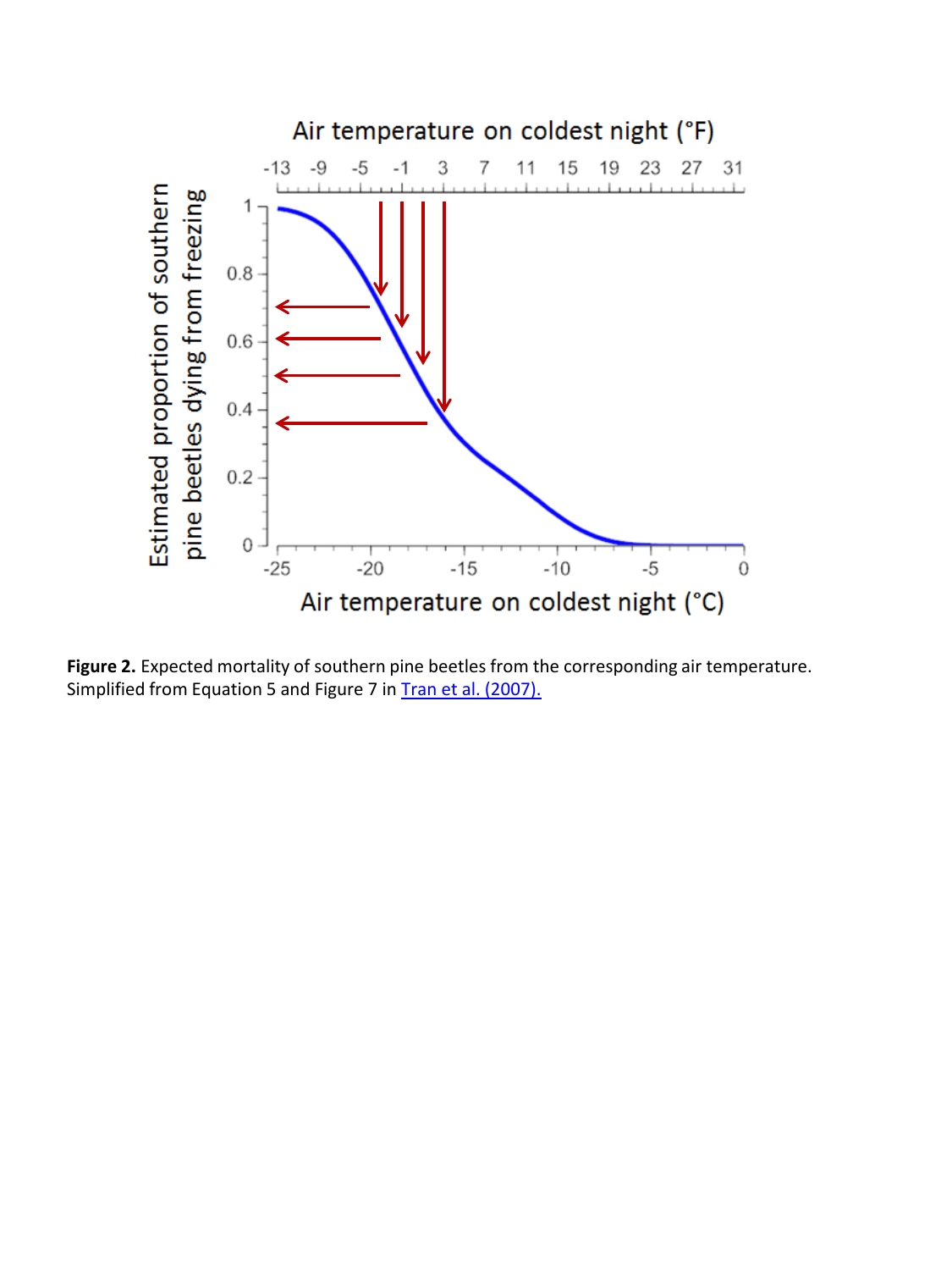

Figure 2. Expected mortality of southern pine beetles from the corresponding air temperature. Simplified from Equation 5 and Figure 7 in [Tran et al. \(2007\).](http://www.dartmouth.edu/~mpayres/pubs/abs65.htm)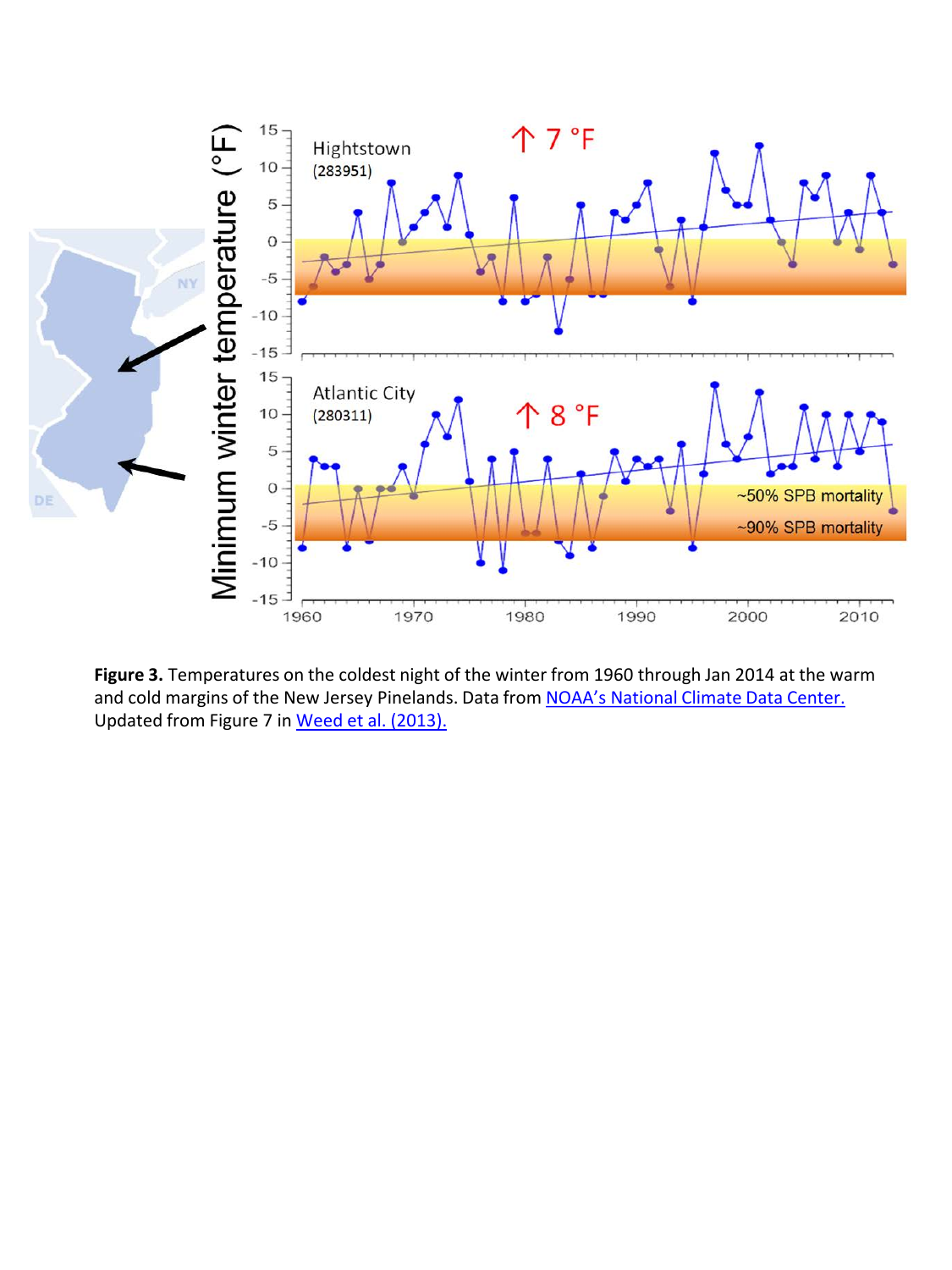

**Figure 3.** Temperatures on the coldest night of the winter from 1960 through Jan 2014 at the warm and cold margins of the New Jersey Pinelands. Data from NOAA's National Climate Data Center. Updated from Figure 7 in [Weed et al. \(2013\).](http://www.dartmouth.edu/~mpayres/pubs/abs96.htm)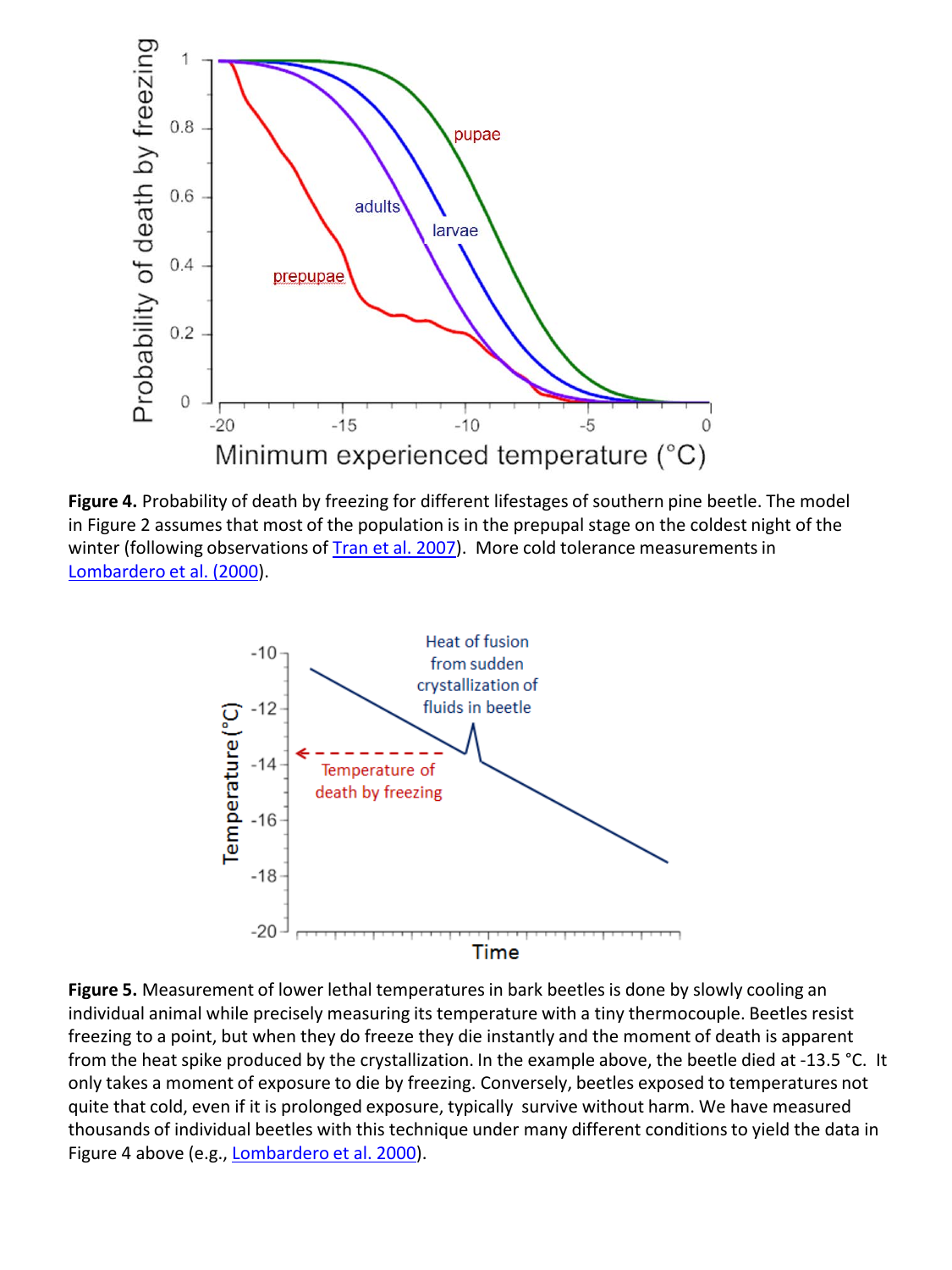

**Figure 4.** Probability of death by freezing for different lifestages of southern pine beetle. The model in Figure 2 assumes that most of the population is in the prepupal stage on the coldest night of the winter (following observations of [Tran et al. 2007\)](http://www.dartmouth.edu/~mpayres/pubs/abs65.htm). More cold tolerance measurements in [Lombardero](http://www.dartmouth.edu/~mpayres/pubs/abs39.htm) et al. (2000).



**Figure 5.** Measurement of lower lethal temperatures in bark beetles is done by slowly cooling an individual animal while precisely measuring its temperature with a tiny thermocouple. Beetles resist freezing to a point, but when they do freeze they die instantly and the moment of death is apparent from the heat spike produced by the crystallization. In the example above, the beetle died at -13.5 °C. It only takes a moment of exposure to die by freezing. Conversely, beetles exposed to temperatures not quite that cold, even if it is prolonged exposure, typically survive without harm. We have measured thousands of individual beetles with this technique under many different conditions to yield the data in Figure 4 above (e.g., [Lombardero](http://www.dartmouth.edu/~mpayres/pubs/abs39.htm) et al. 2000).